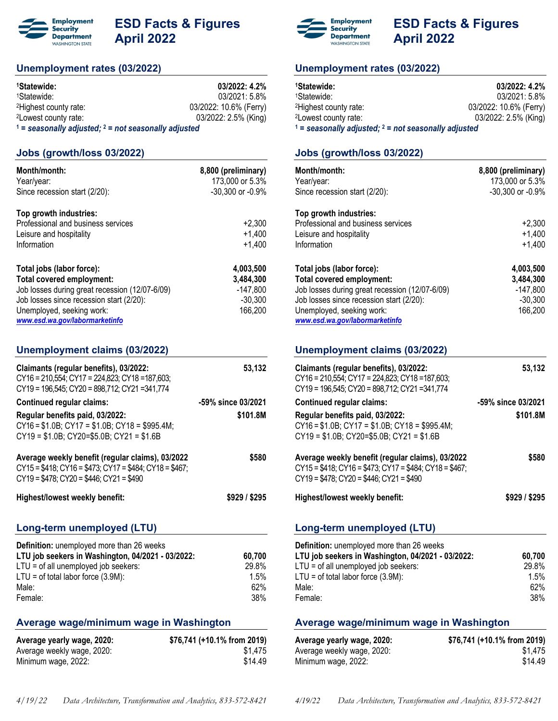

# **ESD Facts & Figures April 2022**

# **Unemployment rates (03/2022)**

| <sup>1</sup> Statewide:                                  | 03/2022: 4.2%          |  |
|----------------------------------------------------------|------------------------|--|
| <sup>1</sup> Statewide:                                  | 03/2021: 5.8%          |  |
| <sup>2</sup> Highest county rate:                        | 03/2022: 10.6% (Ferry) |  |
| <sup>2</sup> Lowest county rate:                         | 03/2022: 2.5% (King)   |  |
| $1 =$ seasonally adjusted; $2 =$ not seasonally adjusted |                        |  |

### **Jobs (growth/loss 03/2022)**

| Month/month:<br>Year/year:<br>Since recession start (2/20):                                                                                                                                                         | 8,800 (preliminary)<br>173,000 or 5.3%<br>-30,300 or -0.9%   |
|---------------------------------------------------------------------------------------------------------------------------------------------------------------------------------------------------------------------|--------------------------------------------------------------|
| Top growth industries:<br>Professional and business services<br>Leisure and hospitality<br>Information                                                                                                              | $+2.300$<br>$+1,400$<br>$+1,400$                             |
| Total jobs (labor force):<br>Total covered employment:<br>Job losses during great recession (12/07-6/09)<br>Job losses since recession start (2/20):<br>Unemployed, seeking work:<br>www.esd.wa.gov/labormarketinfo | 4,003,500<br>3,484,300<br>$-147,800$<br>$-30,300$<br>166,200 |

### **Unemployment claims (03/2022)**

| Claimants (regular benefits), 03/2022:<br>CY16 = 210,554; CY17 = 224,823; CY18 = 187,603;<br>CY19 = 196,545; CY20 = 898,712; CY21 =341,774                           | 53,132             |
|----------------------------------------------------------------------------------------------------------------------------------------------------------------------|--------------------|
| <b>Continued regular claims:</b>                                                                                                                                     | -59% since 03/2021 |
| Regular benefits paid, 03/2022:<br>$CY16 = $1.0B$ ; $CY17 = $1.0B$ ; $CY18 = $995.4M$ ;<br>$CY19 = $1.0B$ ; $CY20 = $5.0B$ ; $CY21 = $1.6B$                          | \$101.8M           |
| Average weekly benefit (regular claims), 03/2022<br>$CY15 = $418$ ; $CY16 = $473$ ; $CY17 = $484$ ; $CY18 = $467$ ;<br>$CY19 = $478$ ; $CY20 = $446$ ; $CY21 = $490$ | \$580              |
|                                                                                                                                                                      |                    |
| <b>Highest/lowest weekly benefit:</b>                                                                                                                                | \$929 / \$295      |
| Long-term unemployed (LTU)                                                                                                                                           |                    |
| Definition: unemployed more than 26 weeks                                                                                                                            |                    |
| LTU job seekers in Washington, 04/2021 - 03/2022:<br>$LTU = of all unemployed job seeks:$                                                                            | 60,700<br>29.8%    |
| $LTU = of total labor force (3.9M):$                                                                                                                                 | 1.5%               |
| Male:<br>Female:                                                                                                                                                     | 62%<br>38%         |

# **Average wage/minimum wage in Washington**

| Average yearly wage, 2020: | \$76,741 (+10.1% from 2019) |
|----------------------------|-----------------------------|
| Average weekly wage, 2020: | \$1.475                     |
| Minimum wage, 2022:        | \$14.49                     |



# **ESD Facts & Figures April 2022**

### **Unemployment rates (03/2022)**

| <sup>1</sup> Statewide:                                  | 03/2022:4.2%           |
|----------------------------------------------------------|------------------------|
| <sup>1</sup> Statewide:                                  | $03/2021:5.8\%$        |
| <sup>2</sup> Highest county rate:                        | 03/2022: 10.6% (Ferry) |
| <sup>2</sup> Lowest county rate:                         | 03/2022: 2.5% (King)   |
| $1$ = seasonally adjusted; $2$ = not seasonally adjusted |                        |

### **Jobs (growth/loss 03/2022)**

| Month/month:<br>Year/year:<br>Since recession start (2/20):                                                                                                                                                         | 8,800 (preliminary)<br>173,000 or 5.3%<br>-30,300 or -0.9%   |
|---------------------------------------------------------------------------------------------------------------------------------------------------------------------------------------------------------------------|--------------------------------------------------------------|
| Top growth industries:<br>Professional and business services<br>Leisure and hospitality<br>Information                                                                                                              | $+2,300$<br>$+1,400$<br>$+1,400$                             |
| Total jobs (labor force):<br>Total covered employment:<br>Job losses during great recession (12/07-6/09)<br>Job losses since recession start (2/20):<br>Unemployed, seeking work:<br>www.esd.wa.gov/labormarketinfo | 4,003,500<br>3,484,300<br>$-147,800$<br>$-30,300$<br>166,200 |

| Unemployment claims (03/2022)                                                                                                                                        |                    |
|----------------------------------------------------------------------------------------------------------------------------------------------------------------------|--------------------|
| Claimants (regular benefits), 03/2022:<br>$CY16 = 210,554$ ; $CY17 = 224,823$ ; $CY18 = 187,603$ ;<br>CY19 = 196,545; CY20 = 898,712; CY21 =341,774                  | 53,132             |
| <b>Continued regular claims:</b>                                                                                                                                     | -59% since 03/2021 |
| Regular benefits paid, 03/2022:<br>$CY16 = $1.0B$ ; $CY17 = $1.0B$ ; $CY18 = $995.4M$ ;<br>$CY19 = $1.0B$ ; $CY20 = $5.0B$ ; $CY21 = $1.6B$                          | \$101.8M           |
| Average weekly benefit (regular claims), 03/2022<br>$CY15 = $418$ ; $CY16 = $473$ ; $CY17 = $484$ ; $CY18 = $467$ ;<br>$CY19 = $478$ ; $CY20 = $446$ ; $CY21 = $490$ | \$580              |
| Highest/lowest weekly benefit:                                                                                                                                       | \$929 / \$295      |

# **Long-term unemployed (LTU)**

| <b>Definition:</b> unemployed more than 26 weeks  |         |
|---------------------------------------------------|---------|
| LTU job seekers in Washington, 04/2021 - 03/2022: | 60.700  |
| LTU = of all unemployed job seekers:              | 29.8%   |
| $LTU = of total labor force (3.9M):$              | $1.5\%$ |
| Male:                                             | $62\%$  |
| Female:                                           | 38%     |

### **Average wage/minimum wage in Washington**

| Average yearly wage, 2020: | \$76,741 (+10.1% from 2019) |
|----------------------------|-----------------------------|
| Average weekly wage, 2020: | \$1.475                     |
| Minimum wage, 2022:        | \$14.49                     |